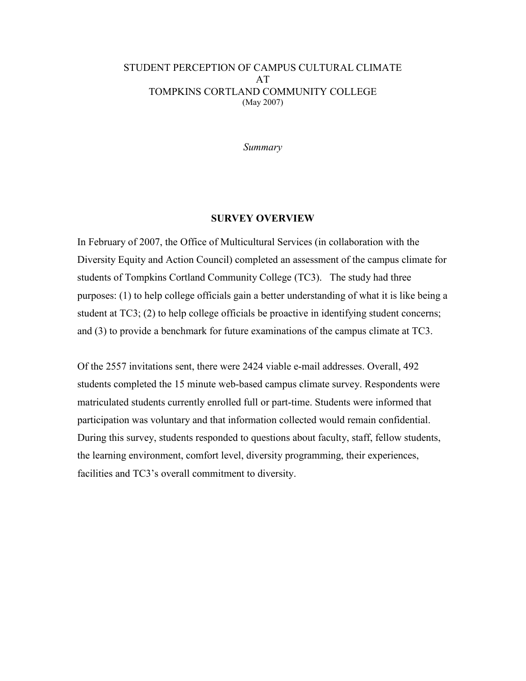*Summary* 

#### **SURVEY OVERVIEW**

In February of 2007, the Office of Multicultural Services (in collaboration with the Diversity Equity and Action Council) completed an assessment of the campus climate for students of Tompkins Cortland Community College (TC3). The study had three purposes: (1) to help college officials gain a better understanding of what it is like being a student at TC3; (2) to help college officials be proactive in identifying student concerns; and (3) to provide a benchmark for future examinations of the campus climate at TC3.

Of the 2557 invitations sent, there were 2424 viable e-mail addresses. Overall, 492 students completed the 15 minute web-based campus climate survey. Respondents were matriculated students currently enrolled full or part-time. Students were informed that participation was voluntary and that information collected would remain confidential. During this survey, students responded to questions about faculty, staff, fellow students, the learning environment, comfort level, diversity programming, their experiences, facilities and TC3's overall commitment to diversity.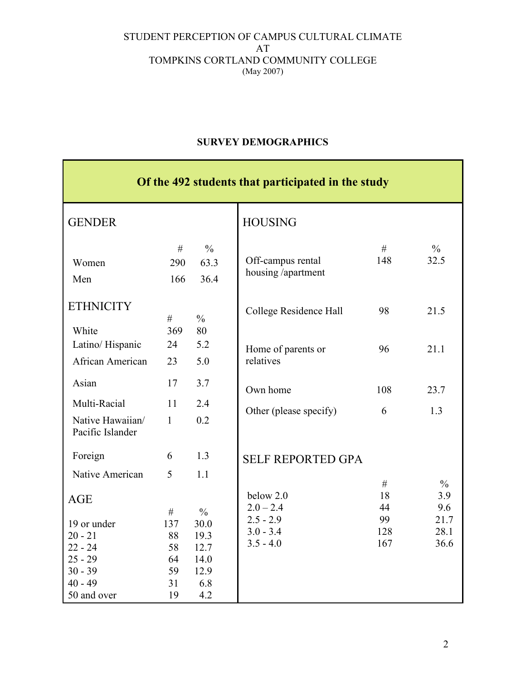# **SURVEY DEMOGRAPHICS**

| Of the 492 students that participated in the study                                                        |                                              |                                                                     |                                                          |                        |                             |  |  |  |  |
|-----------------------------------------------------------------------------------------------------------|----------------------------------------------|---------------------------------------------------------------------|----------------------------------------------------------|------------------------|-----------------------------|--|--|--|--|
| <b>GENDER</b>                                                                                             |                                              |                                                                     | <b>HOUSING</b>                                           |                        |                             |  |  |  |  |
| Women<br>Men                                                                                              | #<br>290<br>166                              | $\frac{0}{0}$<br>63.3<br>36.4                                       | Off-campus rental<br>housing /apartment                  | #<br>148               | $\frac{0}{0}$<br>32.5       |  |  |  |  |
| <b>ETHNICITY</b><br>White                                                                                 | #<br>369                                     | $\frac{0}{0}$<br>80                                                 | College Residence Hall                                   | 98                     | 21.5                        |  |  |  |  |
| Latino/Hispanic<br>African American                                                                       | 24<br>23                                     | 5.2<br>5.0                                                          | Home of parents or<br>relatives                          | 96                     | 21.1                        |  |  |  |  |
| Asian<br>Multi-Racial<br>Native Hawaiian/<br>Pacific Islander                                             | 17<br>11<br>$\mathbf{1}$                     | 3.7<br>2.4<br>0.2                                                   | Own home<br>Other (please specify)                       | 108<br>6               | 23.7<br>1.3                 |  |  |  |  |
| Foreign<br>Native American                                                                                | 6<br>5                                       | 1.3<br>1.1                                                          | <b>SELF REPORTED GPA</b><br>below 2.0                    | $\#$<br>18             | $\frac{0}{0}$<br>3.9        |  |  |  |  |
| <b>AGE</b><br>19 or under<br>$20 - 21$<br>$22 - 24$<br>$25 - 29$<br>$30 - 39$<br>$40 - 49$<br>50 and over | #<br>137<br>88<br>58<br>64<br>59<br>31<br>19 | $\frac{0}{0}$<br>30.0<br>19.3<br>12.7<br>14.0<br>12.9<br>6.8<br>4.2 | $2.0 - 2.4$<br>$2.5 - 2.9$<br>$3.0 - 3.4$<br>$3.5 - 4.0$ | 44<br>99<br>128<br>167 | 9.6<br>21.7<br>28.1<br>36.6 |  |  |  |  |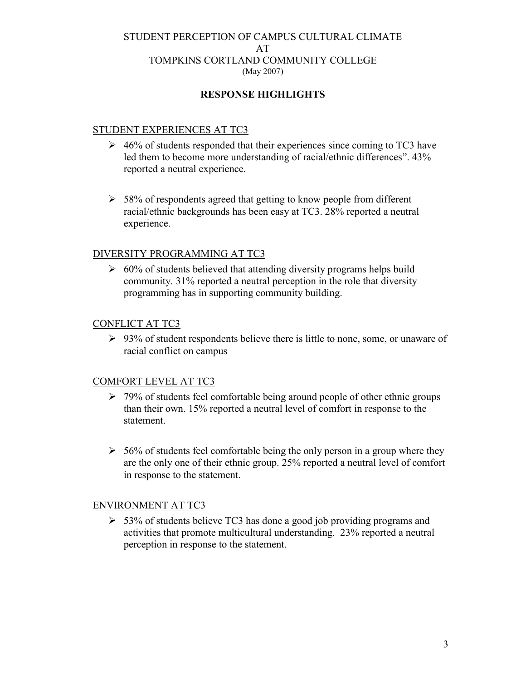# **RESPONSE HIGHLIGHTS**

### STUDENT EXPERIENCES AT TC3

- $\geq 46\%$  of students responded that their experiences since coming to TC3 have led them to become more understanding of racial/ethnic differences". 43% reported a neutral experience.
- $>$  58% of respondents agreed that getting to know people from different racial/ethnic backgrounds has been easy at TC3. 28% reported a neutral experience.

#### DIVERSITY PROGRAMMING AT TC3

 $\geq 60\%$  of students believed that attending diversity programs helps build community. 31% reported a neutral perception in the role that diversity programming has in supporting community building.

### CONFLICT AT TC3

 $\geq 93\%$  of student respondents believe there is little to none, some, or unaware of racial conflict on campus

# COMFORT LEVEL AT TC3

- $\geq 79\%$  of students feel comfortable being around people of other ethnic groups than their own. 15% reported a neutral level of comfort in response to the statement.
- $>$  56% of students feel comfortable being the only person in a group where they are the only one of their ethnic group. 25% reported a neutral level of comfort in response to the statement.

#### ENVIRONMENT AT TC3

 $>$  53% of students believe TC3 has done a good job providing programs and activities that promote multicultural understanding. 23% reported a neutral perception in response to the statement.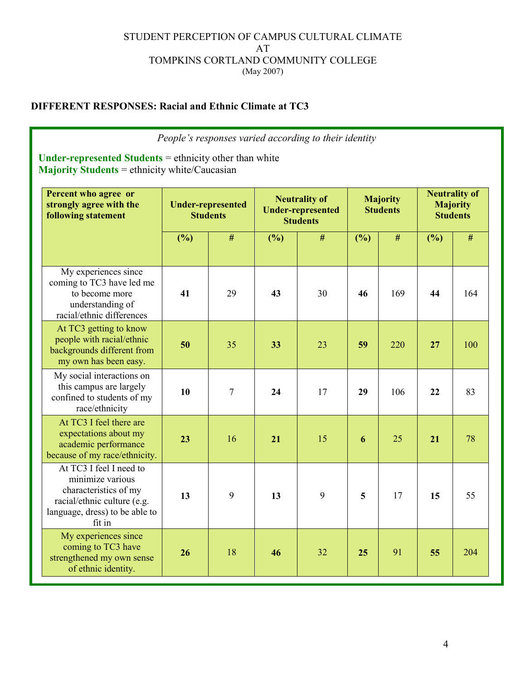# **DIFFERENT RESPONSES: Racial and Ethnic Climate at TC3**

*People's responses varied according to their identity*

**Under-represented Students** = ethnicity other than white **Majority Students** = ethnicity white/Caucasian

| Percent who agree or<br>strongly agree with the<br><b>following statement</b>                                                                   | <b>Under-represented</b><br><b>Students</b> |    | <b>Neutrality of</b><br><b>Under-represented</b><br><b>Students</b> |    | <b>Majority</b><br><b>Students</b> |      | <b>Neutrality of</b><br><b>Majority</b><br><b>Students</b> |     |
|-------------------------------------------------------------------------------------------------------------------------------------------------|---------------------------------------------|----|---------------------------------------------------------------------|----|------------------------------------|------|------------------------------------------------------------|-----|
|                                                                                                                                                 | (%)                                         | #  | (%)                                                                 | #  | (%)                                | $\#$ | (%)                                                        | #   |
| My experiences since<br>coming to TC3 have led me<br>to become more<br>understanding of<br>racial/ethnic differences                            | 41                                          | 29 | 43                                                                  | 30 | 46                                 | 169  | 44                                                         | 164 |
| At TC3 getting to know<br>people with racial/ethnic<br>backgrounds different from<br>my own has been easy.                                      | 50                                          | 35 | 33                                                                  | 23 | 59                                 | 220  | 27                                                         | 100 |
| My social interactions on<br>this campus are largely<br>confined to students of my<br>race/ethnicity                                            | 10                                          | 7  | 24                                                                  | 17 | 29                                 | 106  | 22                                                         | 83  |
| At TC3 I feel there are<br>expectations about my<br>academic performance<br>because of my race/ethnicity.                                       | 23                                          | 16 | 21                                                                  | 15 | 6                                  | 25   | 21                                                         | 78  |
| At TC3 I feel I need to<br>minimize various<br>characteristics of my<br>racial/ethnic culture (e.g.<br>language, dress) to be able to<br>fit in | 13                                          | 9  | 13                                                                  | 9  | 5                                  | 17   | 15                                                         | 55  |
| My experiences since<br>coming to TC3 have<br>strengthened my own sense<br>of ethnic identity.                                                  | 26                                          | 18 | 46                                                                  | 32 | 25                                 | 91   | 55                                                         | 204 |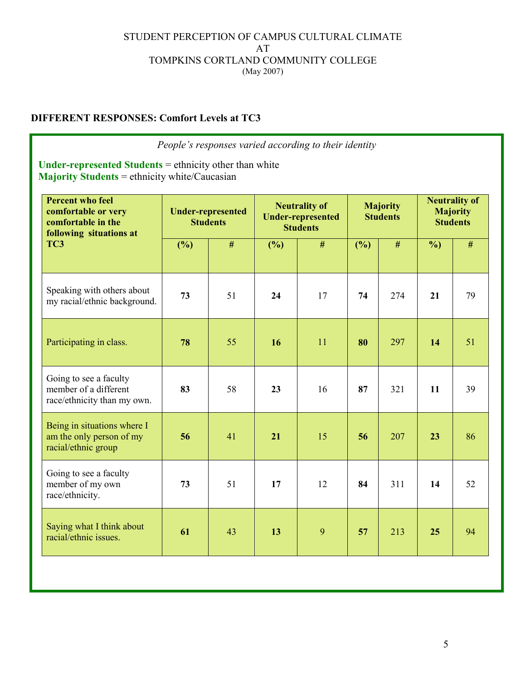# **DIFFERENT RESPONSES: Comfort Levels at TC3**

| People's responses varied according to their identity                                                                  |                                             |    |                                                                     |    |                                    |      |                                                            |    |
|------------------------------------------------------------------------------------------------------------------------|---------------------------------------------|----|---------------------------------------------------------------------|----|------------------------------------|------|------------------------------------------------------------|----|
| <b>Under-represented Students</b> = ethnicity other than white<br><b>Majority Students</b> = ethnicity white/Caucasian |                                             |    |                                                                     |    |                                    |      |                                                            |    |
| <b>Percent who feel</b><br>comfortable or very<br>comfortable in the<br>following situations at<br>TC3                 | <b>Under-represented</b><br><b>Students</b> |    | <b>Neutrality of</b><br><b>Under-represented</b><br><b>Students</b> |    | <b>Majority</b><br><b>Students</b> |      | <b>Neutrality of</b><br><b>Majority</b><br><b>Students</b> |    |
|                                                                                                                        | (%)                                         | #  | (%)                                                                 | #  | (%)                                | $\#$ | $\frac{6}{2}$                                              | #  |
| Speaking with others about<br>my racial/ethnic background.                                                             | 73                                          | 51 | 24                                                                  | 17 | 74                                 | 274  | 21                                                         | 79 |
| Participating in class.                                                                                                | 78                                          | 55 | 16                                                                  | 11 | 80                                 | 297  | 14                                                         | 51 |
| Going to see a faculty<br>member of a different<br>race/ethnicity than my own.                                         | 83                                          | 58 | 23                                                                  | 16 | 87                                 | 321  | 11                                                         | 39 |
| Being in situations where I<br>am the only person of my<br>racial/ethnic group                                         | 56                                          | 41 | 21                                                                  | 15 | 56                                 | 207  | 23                                                         | 86 |
| Going to see a faculty<br>member of my own<br>race/ethnicity.                                                          | 73                                          | 51 | 17                                                                  | 12 | 84                                 | 311  | 14                                                         | 52 |
| Saying what I think about<br>racial/ethnic issues.                                                                     | 61                                          | 43 | 13                                                                  | 9  | 57                                 | 213  | 25                                                         | 94 |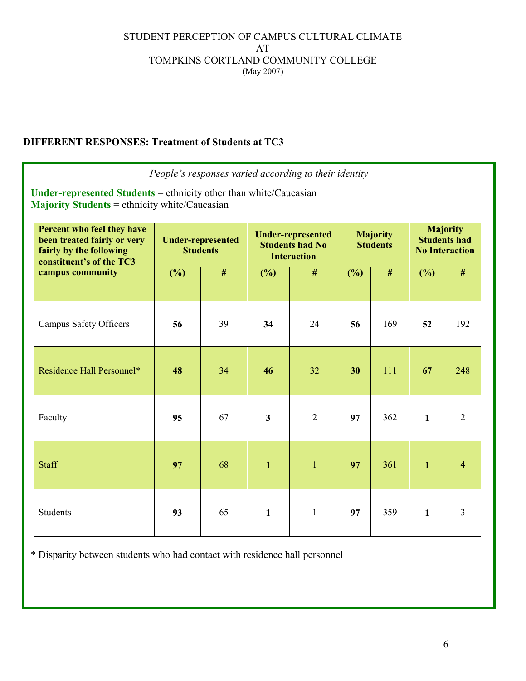# **DIFFERENT RESPONSES: Treatment of Students at TC3**

| <b>Under-represented Students</b> = ethnicity other than white/Caucasian<br><b>Majority Students</b> = ethnicity white/Caucasian     |                                             |    |                                                                          | People's responses varied according to their identity |                                    |     |                                                                 |                |
|--------------------------------------------------------------------------------------------------------------------------------------|---------------------------------------------|----|--------------------------------------------------------------------------|-------------------------------------------------------|------------------------------------|-----|-----------------------------------------------------------------|----------------|
| Percent who feel they have<br>been treated fairly or very<br>fairly by the following<br>constituent's of the TC3<br>campus community | <b>Under-represented</b><br><b>Students</b> |    | <b>Under-represented</b><br><b>Students had No</b><br><b>Interaction</b> |                                                       | <b>Majority</b><br><b>Students</b> |     | <b>Majority</b><br><b>Students had</b><br><b>No Interaction</b> |                |
|                                                                                                                                      | (%)                                         | #  | (%)                                                                      | #                                                     | $(\%)$                             | #   | (%)                                                             | #              |
| <b>Campus Safety Officers</b>                                                                                                        | 56                                          | 39 | 34                                                                       | 24                                                    | 56                                 | 169 | 52                                                              | 192            |
| Residence Hall Personnel*                                                                                                            | 48                                          | 34 | 46                                                                       | 32                                                    | 30                                 | 111 | 67                                                              | 248            |
| Faculty                                                                                                                              | 95                                          | 67 | $\mathbf{3}$                                                             | $\overline{2}$                                        | 97                                 | 362 | $\mathbf{1}$                                                    | $\overline{2}$ |
| <b>Staff</b>                                                                                                                         | 97                                          | 68 | $\mathbf{1}$                                                             | $\mathbf{1}$                                          | 97                                 | 361 | $\mathbf{1}$                                                    | $\overline{4}$ |
| <b>Students</b>                                                                                                                      | 93                                          | 65 | $\mathbf{1}$                                                             | 1                                                     | 97                                 | 359 | $\mathbf{1}$                                                    | $\overline{3}$ |

\* Disparity between students who had contact with residence hall personnel